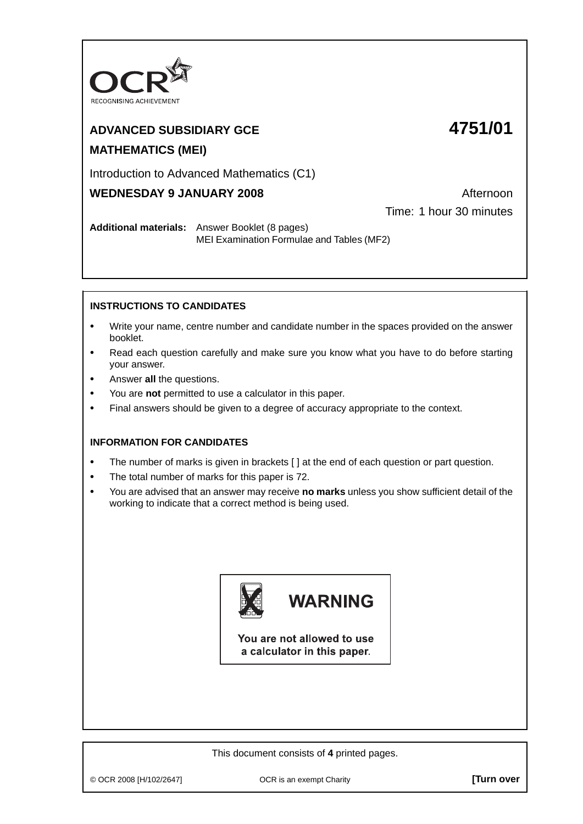

## **ADVANCED SUBSIDIARY GCE 4751/01 MATHEMATICS (MEI)**

### Introduction to Advanced Mathematics (C1)

## **WEDNESDAY 9 JANUARY 2008** Afternoon

Time: 1 hour 30 minutes

**Additional materials:** Answer Booklet (8 pages) MEI Examination Formulae and Tables (MF2)

### **INSTRUCTIONS TO CANDIDATES**

- **•** Write your name, centre number and candidate number in the spaces provided on the answer booklet.
- **•** Read each question carefully and make sure you know what you have to do before starting your answer.
- **•** Answer **all** the questions.
- **•** You are **not** permitted to use a calculator in this paper.
- **•** Final answers should be given to a degree of accuracy appropriate to the context.

#### **INFORMATION FOR CANDIDATES**

- The number of marks is given in brackets [ ] at the end of each question or part question.
- **•** The total number of marks for this paper is 72.
- **•** You are advised that an answer may receive **no marks** unless you show sufficient detail of the working to indicate that a correct method is being used.



# **WARNING**

You are not allowed to use a calculator in this paper.

This document consists of **4** printed pages.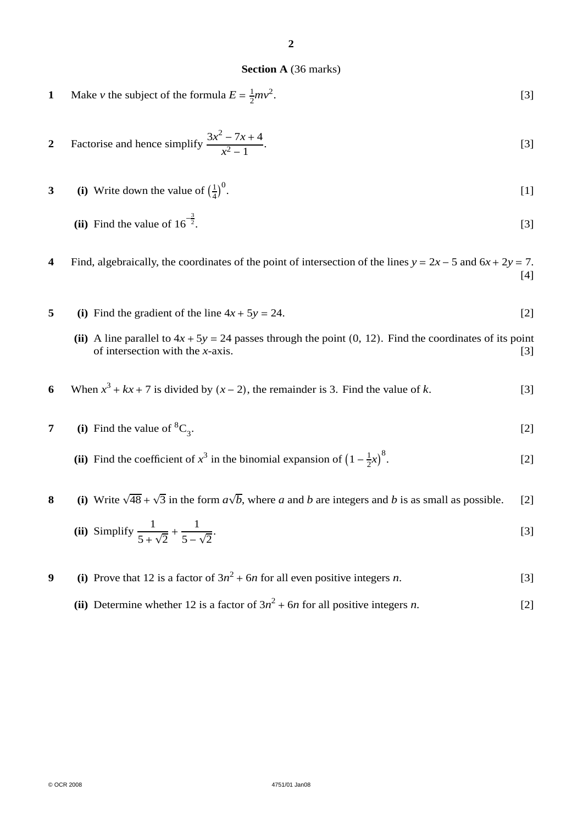#### **Section A** (36 marks)

**1** Make *v* the subject of the formula  $E = \frac{1}{2}mv^2$ .  $[3]$ 

2 Factorise and hence simplify 
$$
\frac{3x^2 - 7x + 4}{x^2 - 1}
$$
. [3]

**3** (i) Write down the value of  $\left(\frac{1}{4}\right)^0$ .  $[1]$ 

(ii) Find the value of 
$$
16^{-\frac{3}{2}}
$$
.

**4** Find, algebraically, the coordinates of the point of intersection of the lines  $y = 2x - 5$  and  $6x + 2y = 7$ . [4]

- **5** (i) Find the gradient of the line  $4x + 5y = 24$ . [2]
	- (ii) A line parallel to  $4x + 5y = 24$  passes through the point (0, 12). Find the coordinates of its point of intersection with the *x*-axis. [3] of intersection with the  $x$ -axis.
- **6** When  $x^3 + kx + 7$  is divided by  $(x 2)$ , the remainder is 3. Find the value of *k*. [3]
- **7** (i) Find the value of  ${}^{8}C_{3}$ .  $[2]$ 
	- (ii) Find the coefficient of  $x^3$  in the binomial expansion of  $\left(1 \frac{1}{2}x\right)^8$ .  $[2]$

## **8** (i) Write  $\sqrt{48} + \sqrt{3}$  in the form  $a\sqrt{b}$ , where *a* and *b* are integers and *b* is as small as possible. [2]

(ii) Simplify 
$$
\frac{1}{5 + \sqrt{2}} + \frac{1}{5 - \sqrt{2}}
$$
.

- **9** (i) Prove that 12 is a factor of  $3n^2 + 6n$  for all even positive integers *n*. [3]
	- (ii) Determine whether 12 is a factor of  $3n^2 + 6n$  for all positive integers *n*. [2]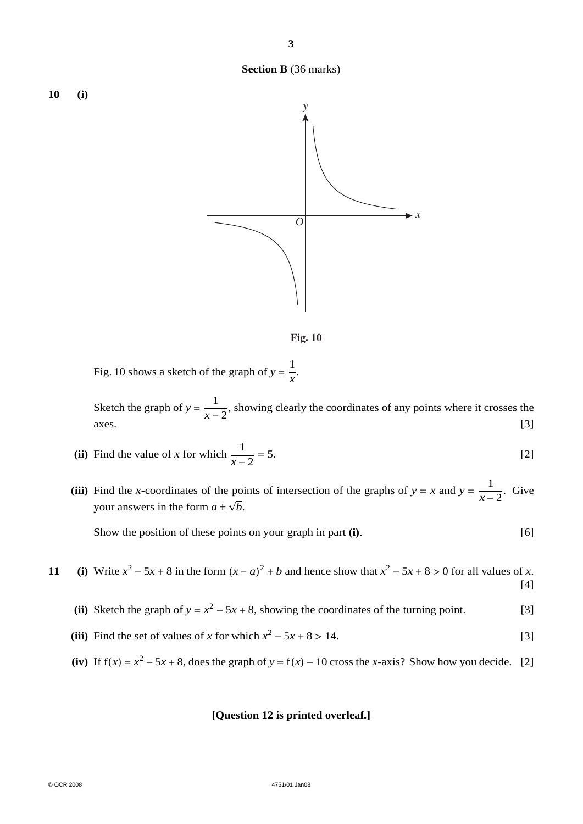



Fig. 10 shows a sketch of the graph of  $y = \frac{1}{x}$ .

Sketch the graph of  $y = \frac{1}{x-2}$ , showing clearly the coordinates of any points where it crosses the  $axes.$  [3]

(ii) Find the value of x for which 
$$
\frac{1}{x-2} = 5
$$
. [2]

(iii) Find the *x*-coordinates of the points of intersection of the graphs of *y* = *x* and *y* =  $\frac{1}{x-2}$ . Give your answers in the form  $a \pm \sqrt{b}$ .

Show the position of these points on your graph in part **(i)**. [6]

**11** (i) Write  $x^2 - 5x + 8$  in the form  $(x - a)^2 + b$  and hence show that  $x^2 - 5x + 8 > 0$  for all values of *x*. [4]

- (ii) Sketch the graph of  $y = x^2 5x + 8$ , showing the coordinates of the turning point. [3]
- (iii) Find the set of values of *x* for which  $x^2 5x + 8 > 14$ . [3]
- (iv) If  $f(x) = x^2 5x + 8$ , does the graph of  $y = f(x) 10$  cross the *x*-axis? Show how you decide. [2]

#### **[Question 12 is printed overleaf.]**

**Section B** (36 marks)

**10 (i)**